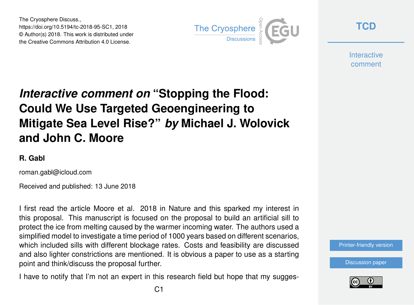The Cryosphere Discuss., https://doi.org/10.5194/tc-2018-95-SC1, 2018 © Author(s) 2018. This work is distributed under the Creative Commons Attribution 4.0 License.



**[TCD](https://www.the-cryosphere-discuss.net/)**

**Interactive** comment

## *Interactive comment on* **"Stopping the Flood: Could We Use Targeted Geoengineering to Mitigate Sea Level Rise?"** *by* **Michael J. Wolovick and John C. Moore**

## **R. Gabl**

roman.gabl@icloud.com

Received and published: 13 June 2018

I first read the article Moore et al. 2018 in Nature and this sparked my interest in this proposal. This manuscript is focused on the proposal to build an artificial sill to protect the ice from melting caused by the warmer incoming water. The authors used a simplified model to investigate a time period of 1000 years based on different scenarios, which included sills with different blockage rates. Costs and feasibility are discussed and also lighter constrictions are mentioned. It is obvious a paper to use as a starting point and think/discuss the proposal further.

I have to notify that I'm not an expert in this research field but hope that my sugges-



[Discussion paper](https://www.the-cryosphere-discuss.net/tc-2018-95)

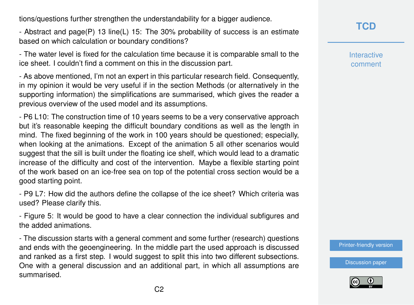tions/questions further strengthen the understandability for a bigger audience.

- Abstract and page(P) 13 line(L) 15: The 30% probability of success is an estimate based on which calculation or boundary conditions?

- The water level is fixed for the calculation time because it is comparable small to the ice sheet. I couldn't find a comment on this in the discussion part.

- As above mentioned, I'm not an expert in this particular research field. Consequently, in my opinion it would be very useful if in the section Methods (or alternatively in the supporting information) the simplifications are summarised, which gives the reader a previous overview of the used model and its assumptions.

- P6 L10: The construction time of 10 years seems to be a very conservative approach but it's reasonable keeping the difficult boundary conditions as well as the length in mind. The fixed beginning of the work in 100 years should be questioned; especially, when looking at the animations. Except of the animation 5 all other scenarios would suggest that the sill is built under the floating ice shelf, which would lead to a dramatic increase of the difficulty and cost of the intervention. Maybe a flexible starting point of the work based on an ice-free sea on top of the potential cross section would be a good starting point.

- P9 L7: How did the authors define the collapse of the ice sheet? Which criteria was used? Please clarify this.

- Figure 5: It would be good to have a clear connection the individual subfigures and the added animations.

- The discussion starts with a general comment and some further (research) questions and ends with the geoengineering. In the middle part the used approach is discussed and ranked as a first step. I would suggest to split this into two different subsections. One with a general discussion and an additional part, in which all assumptions are summarised.

**Interactive** comment

[Printer-friendly version](https://www.the-cryosphere-discuss.net/tc-2018-95/tc-2018-95-SC1-print.pdf)

[Discussion paper](https://www.the-cryosphere-discuss.net/tc-2018-95)